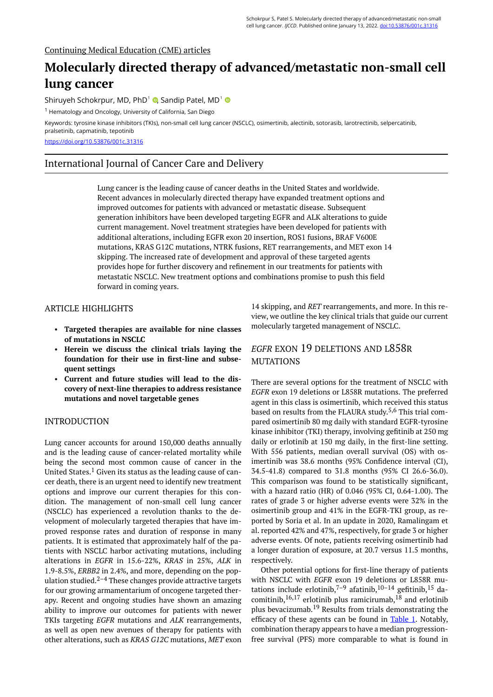#### Continuing Medical Education (CME) articles

# **Molecularly directed therapy of advanced/metastatic non-small cell lung cancer**

Shiruyeh Schokrpur[,](https://orcid.org/0000-0001-9441-9547) MD, PhD<sup>1</sup>  $\bullet$ , Sandip Patel, MD<sup>1</sup>

<sup>1</sup> Hematology and Oncology, University of California, San Diego

Keywords: tyrosine kinase inhibitors (TKIs), non-small cell lung cancer (NSCLC), osimertinib, alectinib, sotorasib, larotrectinib, selpercatinib, pralsetinib, capmatinib, tepotinib

<https://doi.org/10.53876/001c.31316>

# International Journal of Cancer Care and Delivery

Lung cancer is the leading cause of cancer deaths in the United States and worldwide. Recent advances in molecularly directed therapy have expanded treatment options and improved outcomes for patients with advanced or metastatic disease. Subsequent generation inhibitors have been developed targeting EGFR and ALK alterations to guide current management. Novel treatment strategies have been developed for patients with additional alterations, including EGFR exon 20 insertion, ROS1 fusions, BRAF V600E mutations, KRAS G12C mutations, NTRK fusions, RET rearrangements, and MET exon 14 skipping. The increased rate of development and approval of these targeted agents provides hope for further discovery and refinement in our treatments for patients with metastatic NSCLC. New treatment options and combinations promise to push this field forward in coming years.

## ARTICLE HIGHLIGHTS

- **Targeted therapies are available for nine classes of mutations in NSCLC**
- **Herein we discuss the clinical trials laying the foundation for their use in first-line and subsequent settings**
- **Current and future studies will lead to the discovery of next-line therapies to address resistance mutations and novel targetable genes**

### INTRODUCTION

Lung cancer accounts for around 150,000 deaths annually and is the leading cause of cancer-related mortality while being the second most common cause of cancer in the United States.<sup>1</sup> Given its status as the leading cause of cancer death, there is an urgent need to identify new treatment options and improve our current therapies for this condition. The management of non-small cell lung cancer (NSCLC) has experienced a revolution thanks to the development of molecularly targeted therapies that have improved response rates and duration of response in many patients. It is estimated that approximately half of the patients with NSCLC harbor activating mutations, including alterations in *EGFR* in 15.6-22%, *KRAS* in 25%, *ALK* in 1.9-8.5%, *ERBB2* in 2.4%, and more, depending on the population studied. $2-4$  These changes provide attractive targets for our growing armamentarium of oncogene targeted therapy. Recent and ongoing studies have shown an amazing ability to improve our outcomes for patients with newer TKIs targeting *EGFR* mutations and *ALK* rearrangements, as well as open new avenues of therapy for patients with other alterations, such as *KRAS G12C* mutations, *MET* exon 14 skipping, and *RET* rearrangements, and more. In this review, we outline the key clinical trials that guide our current molecularly targeted management of NSCLC.

# *EGFR* EXON 19 DELETIONS AND L858R **MUTATIONS**

There are several options for the treatment of NSCLC with *EGFR* exon 19 deletions or L858R mutations. The preferred agent in this class is osimertinib, which received this status based on results from the FLAURA study. 5,6 This trial compared osimertinib 80 mg daily with standard EGFR-tyrosine kinase inhibitor (TKI) therapy, involving gefitinib at 250 mg daily or erlotinib at 150 mg daily, in the first-line setting. With 556 patients, median overall survival (OS) with osimertinib was 38.6 months (95% Confidence interval (CI), 34.5-41.8) compared to 31.8 months (95% CI 26.6-36.0). This comparison was found to be statistically significant, with a hazard ratio (HR) of 0.046 (95% CI, 0.64-1.00). The rates of grade 3 or higher adverse events were 32% in the osimertinib group and 41% in the EGFR-TKI group, as reported by Soria et al. In an update in 2020, Ramalingam et al. reported 42% and 47%, respectively, for grade 3 or higher adverse events. Of note, patients receiving osimertinib had a longer duration of exposure, at 20.7 versus 11.5 months, respectively.

Other potential options for first-line therapy of patients with NSCLC with *EGFR* exon 19 deletions or L858R mutations include erlotinib,<sup>7-9</sup> afatinib,<sup>10-14</sup> gefitinib,<sup>15</sup> dacomitinib,  $16,17$  erlotinib plus ramicirumab,  $18$  and erlotinib plus bevacizumab.<sup>19</sup> Results from trials demonstrating the efficacy of these agents can be found in [Table 1.](#page-2-0) Notably, combination therapy appears to have a median progressionfree survival (PFS) more comparable to what is found in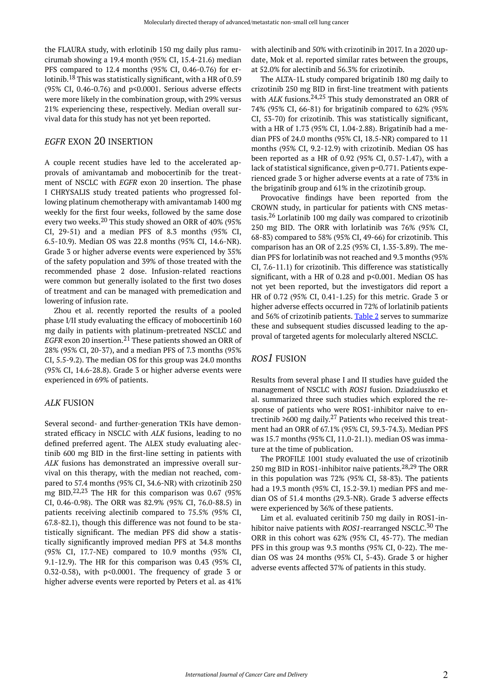the FLAURA study, with erlotinib 150 mg daily plus ramucirumab showing a 19.4 month (95% CI, 15.4-21.6) median PFS compared to 12.4 months (95% CI, 0.46-0.76) for erlotinib.<sup>18</sup> This was statistically significant, with a HR of 0.59 (95% CI, 0.46-0.76) and p<0.0001. Serious adverse effects were more likely in the combination group, with 29% versus 21% experiencing these, respectively. Median overall survival data for this study has not yet been reported.

## *EGFR* EXON 20 INSERTION

A couple recent studies have led to the accelerated approvals of amivantamab and mobocertinib for the treatment of NSCLC with *EGFR* exon 20 insertion. The phase I CHRYSALIS study treated patients who progressed following platinum chemotherapy with amivantamab 1400 mg weekly for the first four weeks, followed by the same dose every two weeks.<sup>20</sup> This study showed an ORR of 40% (95% CI, 29-51) and a median PFS of 8.3 months (95% CI, 6.5-10.9). Median OS was 22.8 months (95% CI, 14.6-NR). Grade 3 or higher adverse events were experienced by 35% of the safety population and 39% of those treated with the recommended phase 2 dose. Infusion-related reactions were common but generally isolated to the first two doses of treatment and can be managed with premedication and lowering of infusion rate.

Zhou et al. recently reported the results of a pooled phase I/II study evaluating the efficacy of mobocertinib 160 mg daily in patients with platinum-pretreated NSCLC and *EGFR* exon 20 insertion.<sup>21</sup> These patients showed an ORR of 28% (95% CI, 20-37), and a median PFS of 7.3 months (95% CI, 5.5-9.2). The median OS for this group was 24.0 months (95% CI, 14.6-28.8). Grade 3 or higher adverse events were experienced in 69% of patients.

#### *ALK* FUSION

Several second- and further-generation TKIs have demonstrated efficacy in NSCLC with *ALK* fusions, leading to no defined preferred agent. The ALEX study evaluating alectinib 600 mg BID in the first-line setting in patients with *ALK* fusions has demonstrated an impressive overall survival on this therapy, with the median not reached, compared to 57.4 months (95% CI, 34.6-NR) with crizotinib 250 mg BID. $^{22,23}$  The HR for this comparison was 0.67 (95%) CI, 0.46-0.98). The ORR was 82.9% (95% CI, 76.0-88.5) in patients receiving alectinib compared to 75.5% (95% CI, 67.8-82.1), though this difference was not found to be statistically significant. The median PFS did show a statistically significantly improved median PFS at 34.8 months (95% CI, 17.7-NE) compared to 10.9 months (95% CI, 9.1-12.9). The HR for this comparison was 0.43 (95% CI, 0.32-0.58), with p<0.0001. The frequency of grade 3 or higher adverse events were reported by Peters et al. as 41%

with alectinib and 50% with crizotinib in 2017. In a 2020 update, Mok et al. reported similar rates between the groups, at 52.0% for alectinib and 56.3% for crizotinib.

The ALTA-1L study compared brigatinib 180 mg daily to crizotinib 250 mg BID in first-line treatment with patients with *ALK* fusions.<sup>24,25</sup> This study demonstrated an ORR of 74% (95% CI, 66-81) for brigatinib compared to 62% (95% CI, 53-70) for crizotinib. This was statistically significant, with a HR of 1.73 (95% CI, 1.04-2.88). Brigatinib had a median PFS of 24.0 months (95% CI, 18.5-NR) compared to 11 months (95% CI, 9.2-12.9) with crizotinib. Median OS has been reported as a HR of 0.92 (95% CI, 0.57-1.47), with a lack of statistical significance, given p=0.771. Patients experienced grade 3 or higher adverse events at a rate of 73% in the brigatinib group and 61% in the crizotinib group.

Provocative findings have been reported from the CROWN study, in particular for patients with CNS metastasis.<sup>26</sup> Lorlatinib 100 mg daily was compared to crizotinib 250 mg BID. The ORR with lorlatinib was 76% (95% CI, 68-83) compared to 58% (95% CI, 49-66) for crizotinib. This comparison has an OR of 2.25 (95% CI, 1.35-3.89). The median PFS for lorlatinib was not reached and 9.3 months (95% CI, 7.6-11.1) for crizotinib. This difference was statistically significant, with a HR of 0.28 and p<0.001. Median OS has not yet been reported, but the investigators did report a HR of 0.72 (95% CI, 0.41-1.25) for this metric. Grade 3 or higher adverse effects occurred in 72% of lorlatinib patients and 56% of crizotinib patients. [Table 2](#page-3-0) serves to summarize these and subsequent studies discussed leading to the approval of targeted agents for molecularly altered NSCLC.

## *ROS1* FUSION

Results from several phase I and II studies have guided the management of NSCLC with *ROS1* fusion. Dziadziuszko et al. summarized three such studies which explored the response of patients who were ROS1-inhibitor naive to entrectinib  $\geq 600$  mg daily.<sup>27</sup> Patients who received this treatment had an ORR of 67.1% (95% CI, 59.3-74.3). Median PFS was 15.7 months (95% CI, 11.0-21.1). median OS was immature at the time of publication.

The PROFILE 1001 study evaluated the use of crizotinib 250 mg BID in ROS1-inhibitor naive patients.<sup>28,29</sup> The ORR in this population was 72% (95% CI, 58-83). The patients had a 19.3 month (95% CI, 15.2-39.1) median PFS and median OS of 51.4 months (29.3-NR). Grade 3 adverse effects were experienced by 36% of these patients.

Lim et al. evaluated ceritinib 750 mg daily in ROS1-inhibitor naive patients with *ROS1*-rearranged NSCLC.<sup>30</sup> The ORR in this cohort was 62% (95% CI, 45-77). The median PFS in this group was 9.3 months (95% CI, 0-22). The median OS was 24 months (95% CI, 5-43). Grade 3 or higher adverse events affected 37% of patients in this study.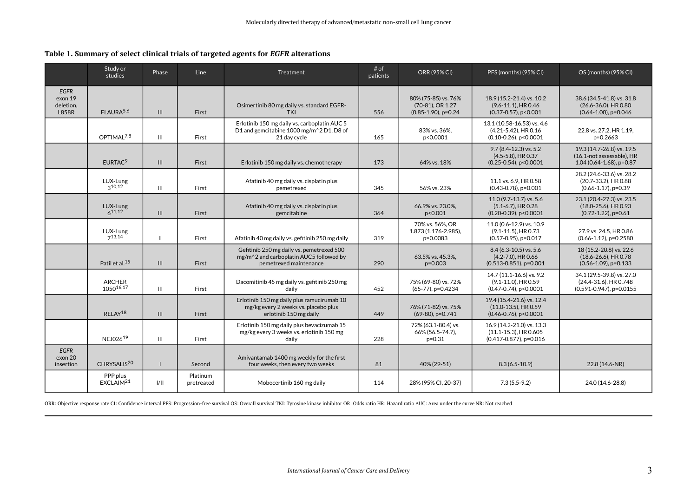**Table 1. Summary of select clinical trials of targeted agents for** *EGFR* **alterations** 

|                                                     | Study or<br>studies               | Phase        | Line                   | Treatment                                                                                                      | # of<br>patients | <b>ORR (95% CI)</b>                                               | PFS (months) (95% CI)                                                                | OS (months) (95% CI)                                                                |
|-----------------------------------------------------|-----------------------------------|--------------|------------------------|----------------------------------------------------------------------------------------------------------------|------------------|-------------------------------------------------------------------|--------------------------------------------------------------------------------------|-------------------------------------------------------------------------------------|
| <b>EGFR</b><br>exon 19<br>deletion,<br><b>L858R</b> | FLAURA <sup>5,6</sup>             | III          | First                  | Osimertinib 80 mg daily vs. standard EGFR-<br><b>TKI</b>                                                       | 556              | 80% (75-85) vs. 76%<br>(70-81), OR 1.27<br>$(0.85-1.90)$ , p=0.24 | 18.9 (15.2-21.4) vs. 10.2<br>$(9.6 - 11.1)$ , HR 0.46<br>$(0.37 - 0.57)$ , p < 0.001 | 38.6 (34.5-41.8) vs. 31.8<br>$(26.6 - 36.0)$ , HR 0.80<br>$(0.64 - 1.00)$ , p=0.046 |
|                                                     | OPTIMAI <sup>7,8</sup>            | Ш            | First                  | Erlotinib 150 mg daily vs. carboplatin AUC 5<br>D1 and gemcitabine 1000 mg/m^2 D1, D8 of<br>21 day cycle       | 165              | 83% vs. 36%,<br>p<0.0001                                          | 13.1 (10.58-16.53) vs. 4.6<br>(4.21-5.42), HR 0.16<br>$(0.10 - 0.26)$ , p < 0.0001   | 22.8 vs. 27.2, HR 1.19,<br>p=0.2663                                                 |
|                                                     | EURTAC <sup>9</sup>               | III          | First                  | Erlotinib 150 mg daily vs. chemotherapy                                                                        | 173              | 64% vs. 18%                                                       | $9.7(8.4-12.3)$ vs. 5.2<br>(4.5-5.8), HR 0.37<br>$(0.25 - 0.54)$ , p < 0.0001        | 19.3 (14.7-26.8) vs. 19.5<br>(16.1-not assessable), HR<br>1.04 (0.64-1.68), p=0.87  |
|                                                     | LUX-Lung<br>310,12                | III          | First                  | Afatinib 40 mg daily vs. cisplatin plus<br>pemetrexed                                                          | 345              | 56% vs. 23%                                                       | 11.1 vs. 6.9. HR 0.58<br>$(0.43 - 0.78)$ , p=0.001                                   | 28.2 (24.6-33.6) vs. 28.2<br>(20.7-33.2), HR 0.88<br>$(0.66 - 1.17)$ , p=0.39       |
|                                                     | LUX-Lung<br>$6^{11,12}$           | III          | First                  | Afatinib 40 mg daily vs. cisplatin plus<br>gemcitabine                                                         | 364              | 66.9% vs. 23.0%,<br>p<0.001                                       | 11.0 (9.7-13.7) vs. 5.6<br>$(5.1 - 6.7)$ . HR 0.28<br>$(0.20 - 0.39)$ , p < 0.0001   | 23.1 (20.4-27.3) vs. 23.5<br>(18.0-25.6), HR 0.93<br>$(0.72 - 1.22)$ , p=0.61       |
|                                                     | LUX-Lung<br>713,14                | $\mathbf{H}$ | First                  | Afatinib 40 mg daily vs. gefitinib 250 mg daily                                                                | 319              | 70% vs. 56%, OR<br>1.873 (1.176-2.985).<br>p=0.0083               | 11.0 (0.6-12.9) vs. 10.9<br>(9.1-11.5), HR 0.73<br>$(0.57 - 0.95)$ , p=0.017         | 27.9 vs. 24.5. HR 0.86<br>$(0.66 - 1.12)$ , p=0.2580                                |
|                                                     | Patil et al. <sup>15</sup>        | III          | First                  | Gefitinib 250 mg daily vs. pemetrexed 500<br>mg/m^2 and carboplatin AUC5 followed by<br>pemetrexed maintenance | 290              | 63.5% vs. 45.3%,<br>$p = 0.003$                                   | 8.4 (6.3-10.5) vs. 5.6<br>$(4.2 - 7.0)$ , HR 0.66<br>$(0.513 - 0.851)$ , p=0.001     | 18 (15.2-20.8) vs. 22.6<br>$(18.6 - 26.6)$ , HR 0.78<br>$(0.56 - 1.09)$ , p=0.133   |
|                                                     | <b>ARCHER</b><br>105016,17        | Ш            | First                  | Dacomitinib 45 mg daily vs. gefitinib 250 mg<br>daily                                                          | 452              | 75% (69-80) vs. 72%<br>(65-77), p=0.4234                          | 14.7 (11.1-16.6) vs. 9.2<br>(9.1-11.0), HR 0.59<br>$(0.47 - 0.74)$ , p < 0.0001      | 34.1 (29.5-39.8) vs. 27.0<br>(24.4-31.6), HR 0.748<br>$(0.591 - 0.947)$ , p=0.0155  |
|                                                     | RELAY <sup>18</sup>               | III          | First                  | Erlotinib 150 mg daily plus ramucirumab 10<br>mg/kg every 2 weeks vs. placebo plus<br>erlotinib 150 mg daily   | 449              | 76% (71-82) vs. 75%<br>(69-80), p=0.741                           | 19.4 (15.4-21.6) vs. 12.4<br>(11.0-13.5), HR 0.59<br>$(0.46 - 0.76)$ , p < 0.0001    |                                                                                     |
|                                                     | NEJ02619                          | Ш            | First                  | Erlotinib 150 mg daily plus bevacizumab 15<br>mg/kg every 3 weeks vs. erlotinib 150 mg<br>daily                | 228              | 72% (63.1-80.4) vs.<br>66% (56.5-74.7),<br>$p = 0.31$             | 16.9 (14.2-21.0) vs. 13.3<br>$(11.1 - 15.3)$ , HR 0.605<br>(0.417-0.877), p=0.016    |                                                                                     |
| <b>EGFR</b><br>exon 20<br>insertion                 | CHRYSALIS <sup>20</sup>           | $\mathbf{I}$ | Second                 | Amivantamab 1400 mg weekly for the first<br>four weeks, then every two weeks                                   | 81               | 40% (29-51)                                                       | $8.3(6.5-10.9)$                                                                      | 22.8 (14.6-NR)                                                                      |
|                                                     | PPP plus<br>EXCLAIM <sup>21</sup> | 1/11         | Platinum<br>pretreated | Mobocertinib 160 mg daily                                                                                      | 114              | 28% (95% CI, 20-37)                                               | $7.3(5.5-9.2)$                                                                       | 24.0 (14.6-28.8)                                                                    |

<span id="page-2-0"></span>ORR: Objective response rate CI: Confidence interval PFS: Progression-free survival OS: Overall survival TKI: Tyrosine kinase inhibitor OR: Odds ratio HR: Hazard ratio AUC: Area under the curve NR: Not reached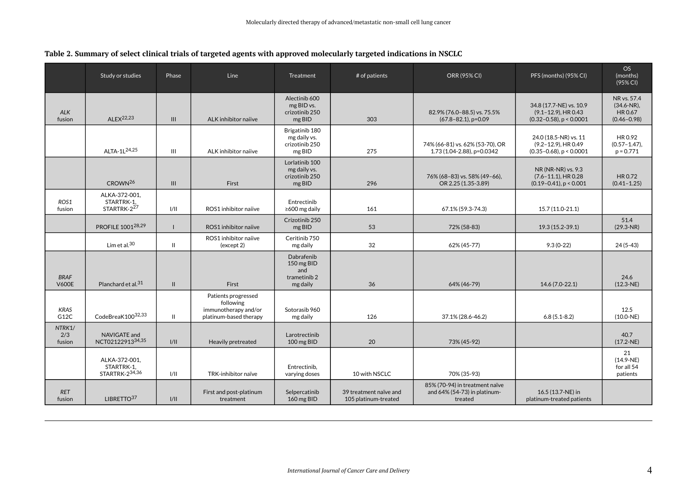|  |  | Table 2. Summary of select clinical trials of targeted agents with approved molecularly targeted indications in NSCLC |
|--|--|-----------------------------------------------------------------------------------------------------------------------|
|--|--|-----------------------------------------------------------------------------------------------------------------------|

<span id="page-3-0"></span>

|                             | Study or studies                              | Phase          | Line                                                                               | <b>Treatment</b>                                            | # of patients                                  | <b>ORR (95% CI)</b>                                                       | PFS (months) (95% CI)                                                               | OS<br>(months)<br>(95% CI)                                 |
|-----------------------------|-----------------------------------------------|----------------|------------------------------------------------------------------------------------|-------------------------------------------------------------|------------------------------------------------|---------------------------------------------------------------------------|-------------------------------------------------------------------------------------|------------------------------------------------------------|
| <b>ALK</b><br>fusion        | ALE $X^{22,23}$                               | $\mathbf{III}$ | ALK inhibitor naiive                                                               | Alectinib 600<br>mg BID vs.<br>crizotinib 250<br>mg BID     | 303                                            | 82.9% (76.0-88.5) vs. 75.5%<br>$(67.8 - 82.1)$ , p=0.09                   | 34.8 (17.7-NE) vs. 10.9<br>$(9.1 - 12.9)$ , HR 0.43<br>$(0.32 - 0.58)$ , p < 0.0001 | NR vs. 57.4<br>$(34.6-NR)$ ,<br>HR 0.67<br>$(0.46 - 0.98)$ |
|                             | ALTA-1L <sup>24,25</sup>                      | $\mathbf{III}$ | ALK inhibitor naiive                                                               | Brigatinib 180<br>mg daily vs.<br>crizotinib 250<br>mg BID  | 275                                            | 74% (66-81) vs. 62% (53-70), OR<br>1.73 (1.04-2.88), p=0.0342             | 24.0 (18.5-NR) vs. 11<br>$(9.2 - 12.9)$ , HR 0.49<br>$(0.35 - 0.68)$ , p < 0.0001   | HR 0.92<br>$(0.57 - 1.47)$ ,<br>$p = 0.771$                |
|                             | CROWN <sup>26</sup>                           | $\mathbf{III}$ | First                                                                              | Lorlatinib 100<br>mg daily vs.<br>crizotinib 250<br>mg BID  | 296                                            | 76% (68-83) vs. 58% (49-66),<br>OR 2.25 (1.35-3.89)                       | NR (NR-NR) vs. 9.3<br>$(7.6 - 11.1)$ , HR 0.28<br>$(0.19 - 0.41)$ , p < 0.001       | HR 0.72<br>$(0.41 - 1.25)$                                 |
| ROS1<br>fusion              | ALKA-372-001,<br>STARTRK-1,<br>STARTRK-227    | 1/11           | ROS1 inhibitor naiive                                                              | Entrectinib<br>$\geq$ 600 mg daily                          | 161                                            | 67.1% (59.3-74.3)                                                         | 15.7 (11.0-21.1)                                                                    |                                                            |
|                             | PROFILE 100128,29                             |                | ROS1 inhibitor naiive                                                              | Crizotinib 250<br>mg BID                                    | 53                                             | 72% (58-83)                                                               | 19.3 (15.2-39.1)                                                                    | 51.4<br>$(29.3-NR)$                                        |
|                             | Lim et al. $30$                               | $\mathbf{H}$   | ROS1 inhibitor naiive<br>(except 2)                                                | Ceritinib 750<br>mg daily                                   | 32                                             | 62% (45-77)                                                               | $9.3(0-22)$                                                                         | $24(5-43)$                                                 |
| <b>BRAF</b><br><b>V600E</b> | Planchard et al. <sup>31</sup>                | $\mathbf{II}$  | First                                                                              | Dabrafenib<br>150 mg BID<br>and<br>trametinib 2<br>mg daily | 36                                             | 64% (46-79)                                                               | 14.6 (7.0-22.1)                                                                     | 24.6<br>$(12.3-NE)$                                        |
| <b>KRAS</b><br>G12C         | CodeBreaK10032,33                             | $\mathbf{H}$   | Patients progressed<br>following<br>immunotherapy and/or<br>platinum-based therapy | Sotorasib 960<br>mg daily                                   | 126                                            | 37.1% (28.6-46.2)                                                         | $6.8(5.1-8.2)$                                                                      | 12.5<br>$(10.0-NE)$                                        |
| NTRK1/<br>2/3<br>fusion     | NAVIGATE and<br>NCT0212291334,35              | 1/11           | Heavily pretreated                                                                 | Larotrectinib<br>100 mg BID                                 | 20                                             | 73% (45-92)                                                               |                                                                                     | 40.7<br>$(17.2-NE)$                                        |
|                             | ALKA-372-001.<br>STARTRK-1,<br>STARTRK-234,36 | 1/11           | TRK-inhibitor naïve                                                                | Entrectinib,<br>varying doses                               | 10 with NSCLC                                  | 70% (35-93)                                                               |                                                                                     | 21<br>$(14.9-NE)$<br>for all 54<br>patients                |
| <b>RET</b><br>fusion        | LIBRETTO <sup>37</sup>                        | 1/11           | First and post-platinum<br>treatment                                               | Selpercatinib<br>160 mg BID                                 | 39 treatment naïve and<br>105 platinum-treated | 85% (70-94) in treatment naïve<br>and 64% (54-73) in platinum-<br>treated | 16.5 (13.7-NE) in<br>platinum-treated patients                                      |                                                            |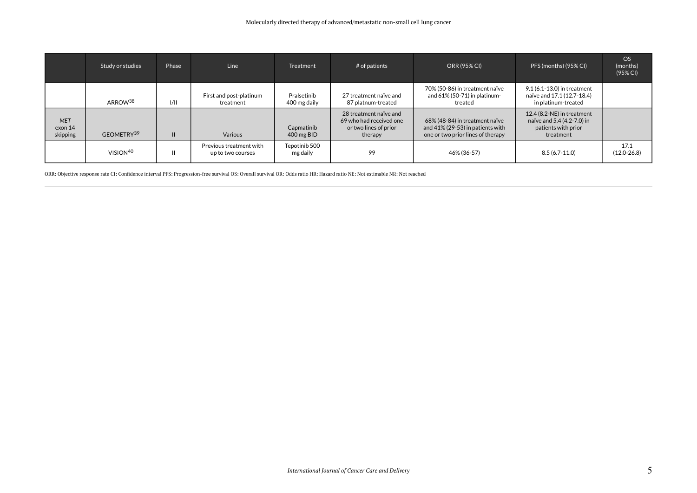|                                   | Study or studies       | Phase | <b>Line</b>                                  | <b>Treatment</b>            | $#$ of patients                                                                       | ORR (95% CI)                                                                                               | PFS (months) (95% CI)                                                                        | <b>OS</b><br>(months)<br>(95% CI) |
|-----------------------------------|------------------------|-------|----------------------------------------------|-----------------------------|---------------------------------------------------------------------------------------|------------------------------------------------------------------------------------------------------------|----------------------------------------------------------------------------------------------|-----------------------------------|
|                                   | ARROW <sup>38</sup>    | 1/11  | First and post-platinum<br>treatment         | Pralsetinib<br>400 mg daily | 27 treatment naïve and<br>87 platnum-treated                                          | 70% (50-86) in treatment naïve<br>and $61\%$ (50-71) in platinum-<br>treated                               | 9.1 (6.1-13.0) in treatment<br>naïve and 17.1 (12.7-18.4)<br>in platinum-treated             |                                   |
| <b>MET</b><br>exon 14<br>skipping | GEOMETRY <sup>39</sup> |       | Various                                      | Capmatinib<br>400 mg BID    | 28 treatment naïve and<br>69 who had received one<br>or two lines of prior<br>therapy | 68% (48-84) in treatment naïve<br>and $41\%$ (29-53) in patients with<br>one or two prior lines of therapy | 12.4 (8.2-NE) in treatment<br>naïve and 5.4 (4.2-7.0) in<br>patients with prior<br>treatment |                                   |
|                                   | VISION <sup>40</sup>   |       | Previous treatment with<br>up to two courses | Tepotinib 500<br>mg daily   | 99                                                                                    | 46% (36-57)                                                                                                | $8.5(6.7-11.0)$                                                                              | 17.1<br>$(12.0 - 26.8)$           |

ORR: Objective response rate CI: Confidence interval PFS: Progression-free survival OS: Overall survival OR: Odds ratio HR: Hazard ratio NE: Not estimable NR: Not reached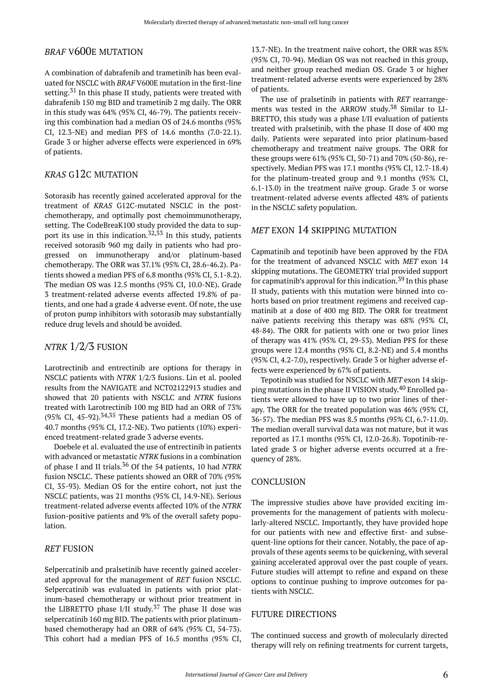## *BRAF* V600E MUTATION

A combination of dabrafenib and trametinib has been evaluated for NSCLC with *BRAF* V600E mutation in the first-line setting.<sup>31</sup> In this phase II study, patients were treated with dabrafenib 150 mg BID and trametinib 2 mg daily. The ORR in this study was 64% (95% CI, 46-79). The patients receiving this combination had a median OS of 24.6 months (95% CI, 12.3-NE) and median PFS of 14.6 months (7.0-22.1). Grade 3 or higher adverse effects were experienced in 69% of patients.

## *KRAS* G12C MUTATION

Sotorasib has recently gained accelerated approval for the treatment of *KRAS* G12C-mutated NSCLC in the postchemotherapy, and optimally post chemoimmunotherapy, setting. The CodeBreaK100 study provided the data to support its use in this indication.<sup>32,33</sup> In this study, patients received sotorasib 960 mg daily in patients who had progressed on immunotherapy and/or platinum-based chemotherapy. The ORR was 37.1% (95% CI, 28.6-46.2). Patients showed a median PFS of 6.8 months (95% CI, 5.1-8.2). The median OS was 12.5 months (95% CI, 10.0-NE). Grade 3 treatment-related adverse events affected 19.8% of patients, and one had a grade 4 adverse event. Of note, the use of proton pump inhibitors with sotorasib may substantially reduce drug levels and should be avoided.

#### *NTRK* 1/2/3 FUSION

Larotrectinib and entrectinib are options for therapy in NSCLC patients with *NTRK* 1/2/3 fusions. Lin et al. pooled results from the NAVIGATE and NCT02122913 studies and showed that 20 patients with NSCLC and *NTRK* fusions treated with Larotrectinib 100 mg BID had an ORR of 73% (95% CI, 45-92). $34,35$  These patients had a median OS of 40.7 months (95% CI, 17.2-NE). Two patients (10%) experienced treatment-related grade 3 adverse events.

Doebele et al. evaluated the use of entrectinib in patients with advanced or metastatic *NTRK* fusions in a combination of phase I and II trials.<sup>36</sup> Of the 54 patients, 10 had *NTRK*  fusion NSCLC. These patients showed an ORR of 70% (95% CI, 35-93). Median OS for the entire cohort, not just the NSCLC patients, was 21 months (95% CI, 14.9-NE). Serious treatment-related adverse events affected 10% of the *NTRK*  fusion-positive patients and 9% of the overall safety population.

#### *RET* FUSION

Selpercatinib and pralsetinib have recently gained accelerated approval for the management of *RET* fusion NSCLC. Selpercatinib was evaluated in patients with prior platinum-based chemotherapy or without prior treatment in the LIBRETTO phase I/II study.<sup>37</sup> The phase II dose was selpercatinib 160 mg BID. The patients with prior platinumbased chemotherapy had an ORR of 64% (95% CI, 54-73). This cohort had a median PFS of 16.5 months (95% CI,

13.7-NE). In the treatment naïve cohort, the ORR was 85% (95% CI, 70-94). Median OS was not reached in this group, and neither group reached median OS. Grade 3 or higher treatment-related adverse events were experienced by 28% of patients.

The use of pralsetinib in patients with *RET* rearrangements was tested in the ARROW study. <sup>38</sup> Similar to LI-BRETTO, this study was a phase I/II evaluation of patients treated with pralsetinib, with the phase II dose of 400 mg daily. Patients were separated into prior platinum-based chemotherapy and treatment naïve groups. The ORR for these groups were 61% (95% CI, 50-71) and 70% (50-86), respectively. Median PFS was 17.1 months (95% CI, 12.7-18.4) for the platinum-treated group and 9.1 months (95% CI, 6.1-13.0) in the treatment naïve group. Grade 3 or worse treatment-related adverse events affected 48% of patients in the NSCLC safety population.

#### *MET* EXON 14 SKIPPING MUTATION

Capmatinib and tepotinib have been approved by the FDA for the treatment of advanced NSCLC with *MET* exon 14 skipping mutations. The GEOMETRY trial provided support for capmatinib's approval for this indication.<sup>39</sup> In this phase II study, patients with this mutation were binned into cohorts based on prior treatment regimens and received capmatinib at a dose of 400 mg BID. The ORR for treatment naïve patients receiving this therapy was 68% (95% CI, 48-84). The ORR for patients with one or two prior lines of therapy was 41% (95% CI, 29-53). Median PFS for these groups were 12.4 months (95% CI, 8.2-NE) and 5.4 months (95% CI, 4.2-7.0), respectively. Grade 3 or higher adverse effects were experienced by 67% of patients.

Tepotinib was studied for NSCLC with *MET* exon 14 skipping mutations in the phase II VISION study. <sup>40</sup> Enrolled patients were allowed to have up to two prior lines of therapy. The ORR for the treated population was 46% (95% CI, 36-57). The median PFS was 8.5 months (95% CI, 6.7-11.0). The median overall survival data was not mature, but it was reported as 17.1 months (95% CI, 12.0-26.8). Topotinib-related grade 3 or higher adverse events occurred at a frequency of 28%.

#### **CONCLUSION**

The impressive studies above have provided exciting improvements for the management of patients with molecularly-altered NSCLC. Importantly, they have provided hope for our patients with new and effective first- and subsequent-line options for their cancer. Notably, the pace of approvals of these agents seems to be quickening, with several gaining accelerated approval over the past couple of years. Future studies will attempt to refine and expand on these options to continue pushing to improve outcomes for patients with NSCLC.

#### FUTURE DIRECTIONS

The continued success and growth of molecularly directed therapy will rely on refining treatments for current targets,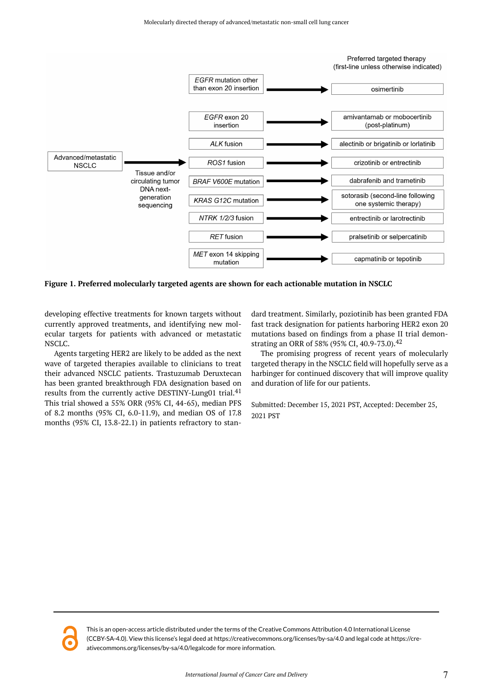

**Figure 1. Preferred molecularly targeted agents are shown for each actionable mutation in NSCLC** 

developing effective treatments for known targets without currently approved treatments, and identifying new molecular targets for patients with advanced or metastatic NSCLC.

Agents targeting HER2 are likely to be added as the next wave of targeted therapies available to clinicians to treat their advanced NSCLC patients. Trastuzumab Deruxtecan has been granted breakthrough FDA designation based on results from the currently active DESTINY-Lung01 trial.<sup>41</sup> This trial showed a 55% ORR (95% CI, 44-65), median PFS of 8.2 months (95% CI, 6.0-11.9), and median OS of 17.8 months (95% CI, 13.8-22.1) in patients refractory to stan-

dard treatment. Similarly, poziotinib has been granted FDA fast track designation for patients harboring HER2 exon 20 mutations based on findings from a phase II trial demonstrating an ORR of 58% (95% CI, 40.9-73.0).<sup>42</sup>

The promising progress of recent years of molecularly targeted therapy in the NSCLC field will hopefully serve as a harbinger for continued discovery that will improve quality and duration of life for our patients.

Submitted: December 15, 2021 PST, Accepted: December 25, 2021 PST



This is an open-access article distributed under the terms of the Creative Commons Attribution 4.0 International License (CCBY-SA-4.0). View this license's legal deed at https://creativecommons.org/licenses/by-sa/4.0 and legal code at https://creativecommons.org/licenses/by-sa/4.0/legalcode for more information.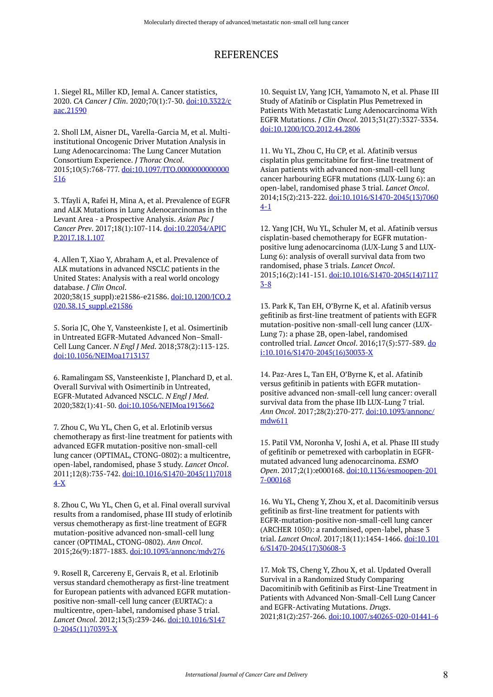# REFERENCES

1. Siegel RL, Miller KD, Jemal A. Cancer statistics, 2020. *CA Cancer J Clin*. 2020;70(1):7-30. [doi:10.3322/c](https://doi.org/10.3322/caac.21590) [aac.21590](https://doi.org/10.3322/caac.21590) 

2. Sholl LM, Aisner DL, Varella-Garcia M, et al. Multiinstitutional Oncogenic Driver Mutation Analysis in Lung Adenocarcinoma: The Lung Cancer Mutation Consortium Experience. *J Thorac Oncol*. 2015;10(5):768-777. [doi:10.1097/JTO.0000000000000](https://doi.org/10.1097/JTO.0000000000000516) [516](https://doi.org/10.1097/JTO.0000000000000516)

3. Tfayli A, Rafei H, Mina A, et al. Prevalence of EGFR and ALK Mutations in Lung Adenocarcinomas in the Levant Area - a Prospective Analysis. *Asian Pac J Cancer Prev*. 2017;18(1):107-114. [doi:10.22034/APJC](https://doi.org/10.22034/APJCP.2017.18.1.107) [P.2017.18.1.107](https://doi.org/10.22034/APJCP.2017.18.1.107)

4. Allen T, Xiao Y, Abraham A, et al. Prevalence of ALK mutations in advanced NSCLC patients in the United States: Analysis with a real world oncology database. *J Clin Oncol*. 2020;38(15\_suppl):e21586-e21586. [doi:10.1200/JCO.2](https://doi.org/10.1200/JCO.2020.38.15_suppl.e21586) 020.38.15 suppl.e21586

5. Soria JC, Ohe Y, Vansteenkiste J, et al. Osimertinib in Untreated EGFR-Mutated Advanced Non–Small-Cell Lung Cancer. *N Engl J Med*. 2018;378(2):113-125. [doi:10.1056/NEJMoa1713137](https://doi.org/10.1056/NEJMoa1713137) 

6. Ramalingam SS, Vansteenkiste J, Planchard D, et al. Overall Survival with Osimertinib in Untreated, EGFR-Mutated Advanced NSCLC. *N Engl J Med*. 2020;382(1):41-50. [doi:10.1056/NEJMoa1913662](https://doi.org/10.1056/NEJMoa1913662) 

7. Zhou C, Wu YL, Chen G, et al. Erlotinib versus chemotherapy as first-line treatment for patients with advanced EGFR mutation-positive non-small-cell lung cancer (OPTIMAL, CTONG-0802): a multicentre, open-label, randomised, phase 3 study. *Lancet Oncol*. 2011;12(8):735-742. [doi:10.1016/S1470-2045\(11\)7018](https://doi.org/10.1016/S1470-2045(11)70184-X) [4-X](https://doi.org/10.1016/S1470-2045(11)70184-X)

8. Zhou C, Wu YL, Chen G, et al. Final overall survival results from a randomised, phase III study of erlotinib versus chemotherapy as first-line treatment of EGFR mutation-positive advanced non-small-cell lung cancer (OPTIMAL, CTONG-0802). *Ann Oncol*. 2015;26(9):1877-1883. [doi:10.1093/annonc/mdv276](https://doi.org/10.1093/annonc/mdv276) 

9. Rosell R, Carcereny E, Gervais R, et al. Erlotinib versus standard chemotherapy as first-line treatment for European patients with advanced EGFR mutationpositive non-small-cell lung cancer (EURTAC): a multicentre, open-label, randomised phase 3 trial. *Lancet Oncol*. 2012;13(3):239-246. [doi:10.1016/S147](https://doi.org/10.1016/S1470-2045(11)70393-X) [0-2045\(11\)70393-X](https://doi.org/10.1016/S1470-2045(11)70393-X) 

10. Sequist LV, Yang JCH, Yamamoto N, et al. Phase III Study of Afatinib or Cisplatin Plus Pemetrexed in Patients With Metastatic Lung Adenocarcinoma With EGFR Mutations. *J Clin Oncol*. 2013;31(27):3327-3334. [doi:10.1200/JCO.2012.44.2806](https://doi.org/10.1200/JCO.2012.44.2806)

11. Wu YL, Zhou C, Hu CP, et al. Afatinib versus cisplatin plus gemcitabine for first-line treatment of Asian patients with advanced non-small-cell lung cancer harbouring EGFR mutations (LUX-Lung 6): an open-label, randomised phase 3 trial. *Lancet Oncol*. 2014;15(2):213-222. [doi:10.1016/S1470-2045\(13\)7060](https://doi.org/10.1016/S1470-2045(13)70604-1) [4-1](https://doi.org/10.1016/S1470-2045(13)70604-1) 

12. Yang JCH, Wu YL, Schuler M, et al. Afatinib versus cisplatin-based chemotherapy for EGFR mutationpositive lung adenocarcinoma (LUX-Lung 3 and LUX-Lung 6): analysis of overall survival data from two randomised, phase 3 trials. *Lancet Oncol*. 2015;16(2):141-151. [doi:10.1016/S1470-2045\(14\)7117](https://doi.org/10.1016/S1470-2045(14)71173-8) [3-8](https://doi.org/10.1016/S1470-2045(14)71173-8) 

13. Park K, Tan EH, O'Byrne K, et al. Afatinib versus gefitinib as first-line treatment of patients with EGFR mutation-positive non-small-cell lung cancer (LUX-Lung 7): a phase 2B, open-label, randomised controlled trial. *Lancet Oncol*. 2016;17(5):577-589. [do](https://doi.org/10.1016/S1470-2045(16)30033-X) [i:10.1016/S1470-2045\(16\)30033-X](https://doi.org/10.1016/S1470-2045(16)30033-X) 

14. Paz-Ares L, Tan EH, O'Byrne K, et al. Afatinib versus gefitinib in patients with EGFR mutationpositive advanced non-small-cell lung cancer: overall survival data from the phase IIb LUX-Lung 7 trial. *Ann Oncol*. 2017;28(2):270-277. [doi:10.1093/annonc/](https://doi.org/10.1093/annonc/mdw611) [mdw611](https://doi.org/10.1093/annonc/mdw611)

15. Patil VM, Noronha V, Joshi A, et al. Phase III study of gefitinib or pemetrexed with carboplatin in EGFRmutated advanced lung adenocarcinoma. *ESMO Open*. 2017;2(1):e000168. [doi:10.1136/esmoopen-201](https://doi.org/10.1136/esmoopen-2017-000168) [7-000168](https://doi.org/10.1136/esmoopen-2017-000168)

16. Wu YL, Cheng Y, Zhou X, et al. Dacomitinib versus gefitinib as first-line treatment for patients with EGFR-mutation-positive non-small-cell lung cancer (ARCHER 1050): a randomised, open-label, phase 3 trial. *Lancet Oncol*. 2017;18(11):1454-1466. [doi:10.101](https://doi.org/10.1016/S1470-2045(17)30608-3) [6/S1470-2045\(17\)30608-3](https://doi.org/10.1016/S1470-2045(17)30608-3) 

17. Mok TS, Cheng Y, Zhou X, et al. Updated Overall Survival in a Randomized Study Comparing Dacomitinib with Gefitinib as First-Line Treatment in Patients with Advanced Non-Small-Cell Lung Cancer and EGFR-Activating Mutations. *Drugs*. 2021;81(2):257-266. [doi:10.1007/s40265-020-01441-6](https://doi.org/10.1007/s40265-020-01441-6)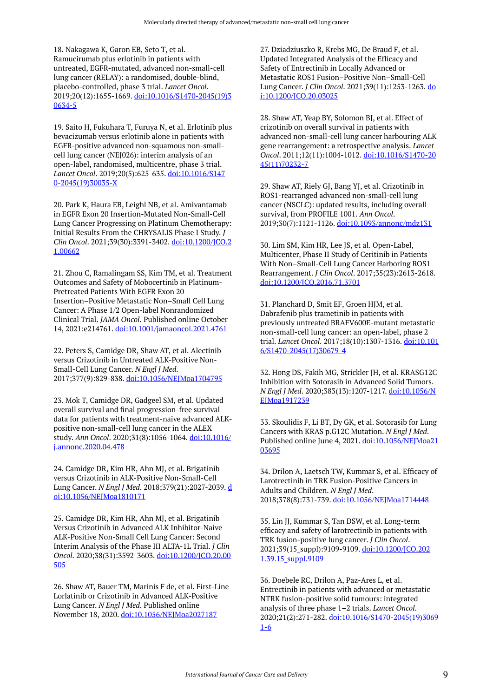18. Nakagawa K, Garon EB, Seto T, et al. Ramucirumab plus erlotinib in patients with untreated, EGFR-mutated, advanced non-small-cell lung cancer (RELAY): a randomised, double-blind, placebo-controlled, phase 3 trial. *Lancet Oncol*. 2019;20(12):1655-1669. [doi:10.1016/S1470-2045\(19\)3](https://doi.org/10.1016/S1470-2045(19)30634-5) [0634-5](https://doi.org/10.1016/S1470-2045(19)30634-5) 

19. Saito H, Fukuhara T, Furuya N, et al. Erlotinib plus bevacizumab versus erlotinib alone in patients with EGFR-positive advanced non-squamous non-smallcell lung cancer (NEJ026): interim analysis of an open-label, randomised, multicentre, phase 3 trial. *Lancet Oncol*. 2019;20(5):625-635. [doi:10.1016/S147](https://doi.org/10.1016/S1470-2045(19)30035-X) [0-2045\(19\)30035-X](https://doi.org/10.1016/S1470-2045(19)30035-X) 

20. Park K, Haura EB, Leighl NB, et al. Amivantamab in EGFR Exon 20 Insertion-Mutated Non-Small-Cell Lung Cancer Progressing on Platinum Chemotherapy: Initial Results From the CHRYSALIS Phase I Study. *J Clin Oncol*. 2021;39(30):3391-3402. [doi:10.1200/JCO.2](https://doi.org/10.1200/JCO.21.00662) [1.00662](https://doi.org/10.1200/JCO.21.00662)

21. Zhou C, Ramalingam SS, Kim TM, et al. Treatment Outcomes and Safety of Mobocertinib in Platinum-Pretreated Patients With EGFR Exon 20 Insertion–Positive Metastatic Non–Small Cell Lung Cancer: A Phase 1/2 Open-label Nonrandomized Clinical Trial. *JAMA Oncol*. Published online October 14, 2021:e214761. [doi:10.1001/jamaoncol.2021.4761](https://doi.org/10.1001/jamaoncol.2021.4761)

22. Peters S, Camidge DR, Shaw AT, et al. Alectinib versus Crizotinib in Untreated ALK-Positive Non-Small-Cell Lung Cancer. *N Engl J Med*. 2017;377(9):829-838. [doi:10.1056/NEJMoa1704795](https://doi.org/10.1056/NEJMoa1704795)

23. Mok T, Camidge DR, Gadgeel SM, et al. Updated overall survival and final progression-free survival data for patients with treatment-naive advanced ALKpositive non-small-cell lung cancer in the ALEX study. *Ann Oncol*. 2020;31(8):1056-1064. [doi:10.1016/](https://doi.org/10.1016/j.annonc.2020.04.478) [j.annonc.2020.04.478](https://doi.org/10.1016/j.annonc.2020.04.478)

24. Camidge DR, Kim HR, Ahn MJ, et al. Brigatinib versus Crizotinib in ALK-Positive Non-Small-Cell Lung Cancer. *N Engl J Med*. 2018;379(21):2027-2039. [d](https://doi.org/10.1056/NEJMoa1810171) [oi:10.1056/NEJMoa1810171](https://doi.org/10.1056/NEJMoa1810171) 

25. Camidge DR, Kim HR, Ahn MJ, et al. Brigatinib Versus Crizotinib in Advanced ALK Inhibitor-Naive ALK-Positive Non-Small Cell Lung Cancer: Second Interim Analysis of the Phase III ALTA-1L Trial. *J Clin Oncol*. 2020;38(31):3592-3603. [doi:10.1200/JCO.20.00](https://doi.org/10.1200/JCO.20.00505) [505](https://doi.org/10.1200/JCO.20.00505)

26. Shaw AT, Bauer TM, Marinis F de, et al. First-Line Lorlatinib or Crizotinib in Advanced ALK-Positive Lung Cancer. *N Engl J Med*. Published online November 18, 2020. [doi:10.1056/NEJMoa2027187](https://doi.org/10.1056/NEJMoa2027187) 

27. Dziadziuszko R, Krebs MG, De Braud F, et al. Updated Integrated Analysis of the Efficacy and Safety of Entrectinib in Locally Advanced or Metastatic ROS1 Fusion–Positive Non–Small-Cell Lung Cancer. *J Clin Oncol*. 2021;39(11):1253-1263. [do](https://doi.org/10.1200/JCO.20.03025) [i:10.1200/JCO.20.03025](https://doi.org/10.1200/JCO.20.03025)

28. Shaw AT, Yeap BY, Solomon BJ, et al. Effect of crizotinib on overall survival in patients with advanced non-small-cell lung cancer harbouring ALK gene rearrangement: a retrospective analysis. *Lancet Oncol*. 2011;12(11):1004-1012. [doi:10.1016/S1470-20](https://doi.org/10.1016/S1470-2045(11)70232-7) [45\(11\)70232-7](https://doi.org/10.1016/S1470-2045(11)70232-7)

29. Shaw AT, Riely GJ, Bang YJ, et al. Crizotinib in ROS1-rearranged advanced non-small-cell lung cancer (NSCLC): updated results, including overall survival, from PROFILE 1001. *Ann Oncol*. 2019;30(7):1121-1126. [doi:10.1093/annonc/mdz131](https://doi.org/10.1093/annonc/mdz131)

30. Lim SM, Kim HR, Lee JS, et al. Open-Label, Multicenter, Phase II Study of Ceritinib in Patients With Non–Small-Cell Lung Cancer Harboring ROS1 Rearrangement. *J Clin Oncol*. 2017;35(23):2613-2618. [doi:10.1200/JCO.2016.71.3701](https://doi.org/10.1200/JCO.2016.71.3701)

31. Planchard D, Smit EF, Groen HJM, et al. Dabrafenib plus trametinib in patients with previously untreated BRAFV600E-mutant metastatic non-small-cell lung cancer: an open-label, phase 2 trial. *Lancet Oncol*. 2017;18(10):1307-1316. [doi:10.101](https://doi.org/10.1016/S1470-2045(17)30679-4) [6/S1470-2045\(17\)30679-4](https://doi.org/10.1016/S1470-2045(17)30679-4) 

32. Hong DS, Fakih MG, Strickler JH, et al. KRASG12C Inhibition with Sotorasib in Advanced Solid Tumors. *N Engl J Med*. 2020;383(13):1207-1217. [doi:10.1056/N](https://doi.org/10.1056/NEJMoa1917239) EJMoa1917239

33. Skoulidis F, Li BT, Dy GK, et al. Sotorasib for Lung Cancers with KRAS p.G12C Mutation. *N Engl J Med*. Published online June 4, 2021. [doi:10.1056/NEJMoa21](https://doi.org/10.1056/NEJMoa2103695) [03695](https://doi.org/10.1056/NEJMoa2103695)

34. Drilon A, Laetsch TW, Kummar S, et al. Efficacy of Larotrectinib in TRK Fusion-Positive Cancers in Adults and Children. *N Engl J Med*. 2018;378(8):731-739. [doi:10.1056/NEJMoa1714448](https://doi.org/10.1056/NEJMoa1714448)

35. Lin JJ, Kummar S, Tan DSW, et al. Long-term efficacy and safety of larotrectinib in patients with TRK fusion-positive lung cancer. *J Clin Oncol*. 2021;39(15\_suppl):9109-9109. [doi:10.1200/JCO.202](https://doi.org/10.1200/JCO.2021.39.15_suppl.9109) 1.39.15\_suppl.9109

36. Doebele RC, Drilon A, Paz-Ares L, et al. Entrectinib in patients with advanced or metastatic NTRK fusion-positive solid tumours: integrated analysis of three phase 1–2 trials. *Lancet Oncol*. 2020;21(2):271-282. [doi:10.1016/S1470-2045\(19\)3069](https://doi.org/10.1016/S1470-2045(19)30691-6) [1-6](https://doi.org/10.1016/S1470-2045(19)30691-6)